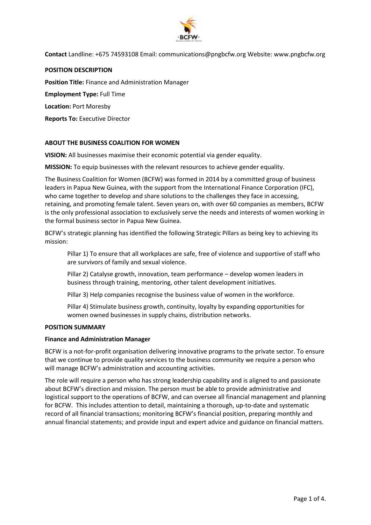

### **POSITION DESCRIPTION**

**Position Title:** Finance and Administration Manager

**Employment Type:** Full Time

**Location:** Port Moresby

**Reports To:** Executive Director

# **ABOUT THE BUSINESS COALITION FOR WOMEN**

**VISION:** All businesses maximise their economic potential via gender equality.

**MISSION:** To equip businesses with the relevant resources to achieve gender equality.

The Business Coalition for Women (BCFW) was formed in 2014 by a committed group of business leaders in Papua New Guinea, with the support from the International Finance Corporation (IFC), who came together to develop and share solutions to the challenges they face in accessing, retaining, and promoting female talent. Seven years on, with over 60 companies as members, BCFW is the only professional association to exclusively serve the needs and interests of women working in the formal business sector in Papua New Guinea.

BCFW's strategic planning has identified the following Strategic Pillars as being key to achieving its mission:

Pillar 1) To ensure that all workplaces are safe, free of violence and supportive of staff who are survivors of family and sexual violence.

Pillar 2) Catalyse growth, innovation, team performance – develop women leaders in business through training, mentoring, other talent development initiatives.

Pillar 3) Help companies recognise the business value of women in the workforce.

Pillar 4) Stimulate business growth, continuity, loyalty by expanding opportunities for women owned businesses in supply chains, distribution networks.

#### **POSITION SUMMARY**

#### **Finance and Administration Manager**

BCFW is a not-for-profit organisation delivering innovative programs to the private sector. To ensure that we continue to provide quality services to the business community we require a person who will manage BCFW's administration and accounting activities.

The role will require a person who has strong leadership capability and is aligned to and passionate about BCFW's direction and mission. The person must be able to provide administrative and logistical support to the operations of BCFW, and can oversee all financial management and planning for BCFW. This includes attention to detail, maintaining a thorough, up-to-date and systematic record of all financial transactions; monitoring BCFW's financial position, preparing monthly and annual financial statements; and provide input and expert advice and guidance on financial matters.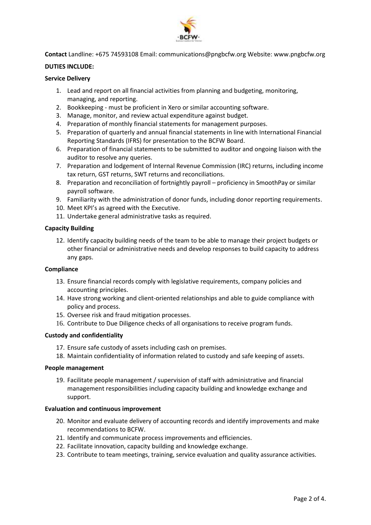

# **DUTIES INCLUDE:**

### **Service Delivery**

- 1. Lead and report on all financial activities from planning and budgeting, monitoring, managing, and reporting.
- 2. Bookkeeping must be proficient in Xero or similar accounting software.
- 3. Manage, monitor, and review actual expenditure against budget.
- 4. Preparation of monthly financial statements for management purposes.
- 5. Preparation of quarterly and annual financial statements in line with International Financial Reporting Standards (IFRS) for presentation to the BCFW Board.
- 6. Preparation of financial statements to be submitted to auditor and ongoing liaison with the auditor to resolve any queries.
- 7. Preparation and lodgement of Internal Revenue Commission (IRC) returns, including income tax return, GST returns, SWT returns and reconciliations.
- 8. Preparation and reconciliation of fortnightly payroll proficiency in SmoothPay or similar payroll software.
- 9. Familiarity with the administration of donor funds, including donor reporting requirements.
- 10. Meet KPI's as agreed with the Executive.
- 11. Undertake general administrative tasks as required.

### **Capacity Building**

12. Identify capacity building needs of the team to be able to manage their project budgets or other financial or administrative needs and develop responses to build capacity to address any gaps.

#### **Compliance**

- 13. Ensure financial records comply with legislative requirements, company policies and accounting principles.
- 14. Have strong working and client-oriented relationships and able to guide compliance with policy and process.
- 15. Oversee risk and fraud mitigation processes.
- 16. Contribute to Due Diligence checks of all organisations to receive program funds.

#### **Custody and confidentiality**

- 17. Ensure safe custody of assets including cash on premises.
- 18. Maintain confidentiality of information related to custody and safe keeping of assets.

#### **People management**

19. Facilitate people management / supervision of staff with administrative and financial management responsibilities including capacity building and knowledge exchange and support.

#### **Evaluation and continuous improvement**

- 20. Monitor and evaluate delivery of accounting records and identify improvements and make recommendations to BCFW.
- 21. Identify and communicate process improvements and efficiencies.
- 22. Facilitate innovation, capacity building and knowledge exchange.
- 23. Contribute to team meetings, training, service evaluation and quality assurance activities.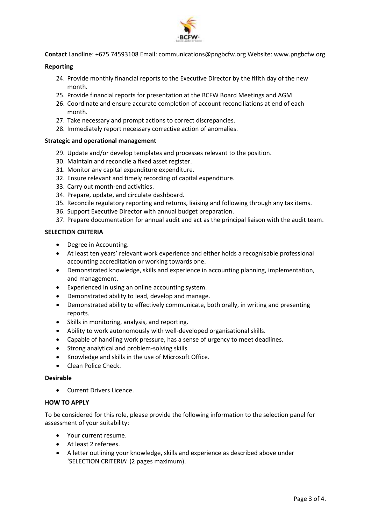

# **Reporting**

- 24. Provide monthly financial reports to the Executive Director by the fifith day of the new month.
- 25. Provide financial reports for presentation at the BCFW Board Meetings and AGM
- 26. Coordinate and ensure accurate completion of account reconciliations at end of each month.
- 27. Take necessary and prompt actions to correct discrepancies.
- 28. Immediately report necessary corrective action of anomalies.

# **Strategic and operational management**

- 29. Update and/or develop templates and processes relevant to the position.
- 30. Maintain and reconcile a fixed asset register.
- 31. Monitor any capital expenditure expenditure.
- 32. Ensure relevant and timely recording of capital expenditure.
- 33. Carry out month-end activities.
- 34. Prepare, update, and circulate dashboard.
- 35. Reconcile regulatory reporting and returns, liaising and following through any tax items.
- 36. Support Executive Director with annual budget preparation.
- 37. Prepare documentation for annual audit and act as the principal liaison with the audit team.

# **SELECTION CRITERIA**

- Degree in Accounting.
- At least ten years' relevant work experience and either holds a recognisable professional accounting accreditation or working towards one.
- Demonstrated knowledge, skills and experience in accounting planning, implementation, and management.
- Experienced in using an online accounting system.
- Demonstrated ability to lead, develop and manage.
- Demonstrated ability to effectively communicate, both orally, in writing and presenting reports.
- Skills in monitoring, analysis, and reporting.
- Ability to work autonomously with well-developed organisational skills.
- Capable of handling work pressure, has a sense of urgency to meet deadlines.
- Strong analytical and problem-solving skills.
- Knowledge and skills in the use of Microsoft Office.
- Clean Police Check.

# **Desirable**

• Current Drivers Licence.

# **HOW TO APPLY**

To be considered for this role, please provide the following information to the selection panel for assessment of your suitability:

- Your current resume.
- At least 2 referees.
- A letter outlining your knowledge, skills and experience as described above under 'SELECTION CRITERIA' (2 pages maximum).